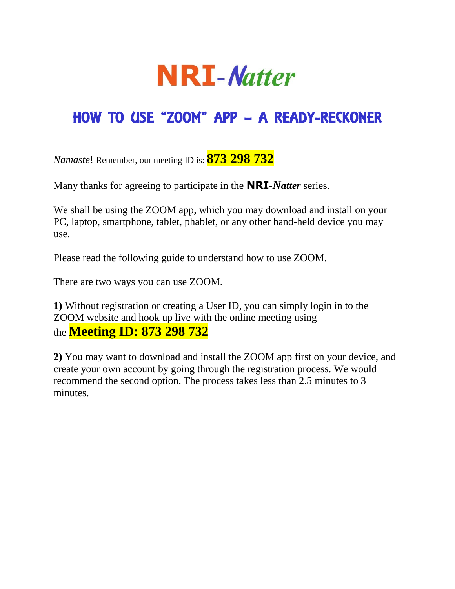

## HOW TO USE "ZOOM" APP – A READY-RECKONER

*Namaste*! Remember, our meeting ID is: **873 298 732**

Many thanks for agreeing to participate in the **NRI**-*Natter* series.

We shall be using the ZOOM app, which you may download and install on your PC, laptop, smartphone, tablet, phablet, or any other hand-held device you may use.

Please read the following guide to understand how to use ZOOM.

There are two ways you can use ZOOM.

**1)** Without registration or creating a User ID, you can simply login in to the ZOOM website and hook up live with the online meeting using the **Meeting ID: 873 298 732**

**2)** You may want to download and install the ZOOM app first on your device, and create your own account by going through the registration process. We would recommend the second option. The process takes less than 2.5 minutes to 3 minutes.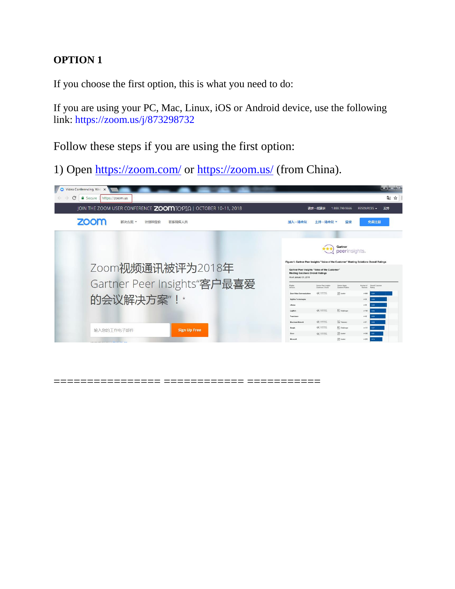## **OPTION 1**

If you choose the first option, this is what you need to do:

If you are using your PC, Mac, Linux, iOS or Android device, use the following link: <https://zoom.us/j/873298732>

Follow these steps if you are using the first option:

1) Open<https://zoom.com/> or<https://zoom.us/> (from China).



===== ==========================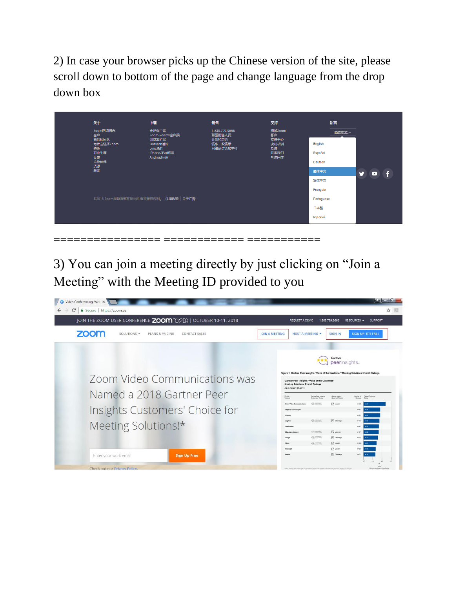2) In case your browser picks up the Chinese version of the site, please scroll down to bottom of the page and change language from the drop down box

| 关于                                   | 下载                                           | 销售                                          | 支持                           | 语言                 |                            |
|--------------------------------------|----------------------------------------------|---------------------------------------------|------------------------------|--------------------|----------------------------|
| Zoom网络日志<br>客户<br>我们的团队<br>为什么选择Zoom | 会议客户端<br>Zoom Rooms客户端<br>浏览器扩展<br>Outlook插件 | 1.888.799.9666<br>联系销售人员<br>计划和定价<br>请求一段演示 | 测试Zoom<br>帐户<br>支持中心<br>实时培训 | 简体中文一<br>English   |                            |
| 特性<br>职业生涯<br>集成<br>合作伙伴             | Lync插件<br>iPhone/iPad应用<br>Android应用         | 网络研讨会和事件                                    | 反馈<br>联系我们<br>可访问性           | Español<br>Deutsch |                            |
| 资源<br>新闻                             |                                              |                                             |                              | 简体中文               | M<br>$\blacktriangleright$ |
|                                      |                                              |                                             |                              | 繁体中文<br>Français   |                            |
|                                      | ©2018 Zoom视频通讯有限公司 保留所有权利。 法律政策   关于广告       |                                             |                              |                    |                            |
|                                      |                                              |                                             |                              | 日本語                |                            |
|                                      |                                              |                                             |                              | Русский            |                            |

3) You can join a meeting directly by just clicking on "Join a Meeting" with the Meeting ID provided to you

================ ============ ===========

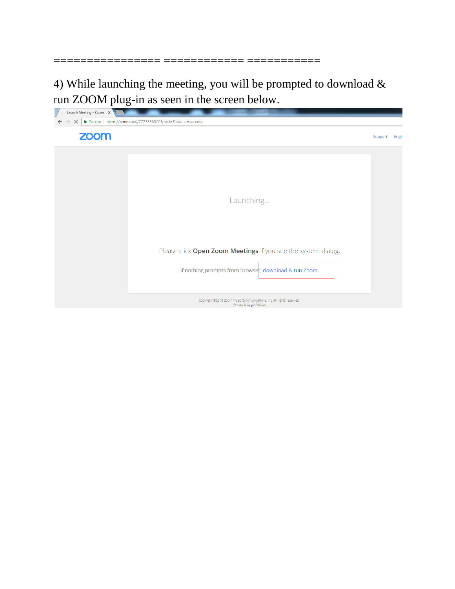4) While launching the meeting, you will be prompted to download  $&$ run ZOOM plug-in as seen in the screen below.

================ ============ ===========

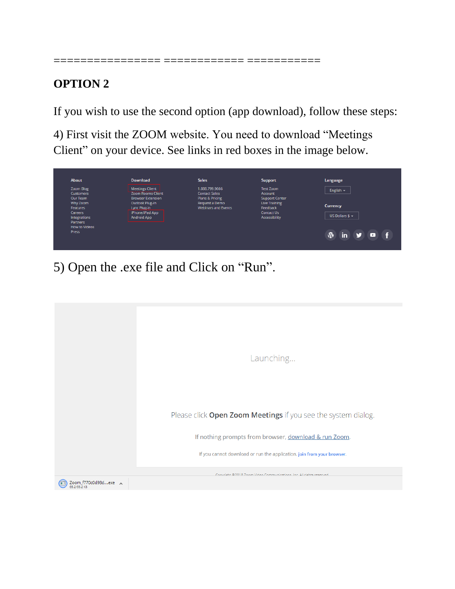## **OPTION 2**

If you wish to use the second option (app download), follow these steps:

================ ============ ===========

4) First visit the ZOOM website. You need to download "Meetings Client" on your device. See links in red boxes in the image below.

| <b>About</b>                 | <b>Download</b>                                      | <b>Sales</b>                      | <b>Support</b>                                | Language                     |
|------------------------------|------------------------------------------------------|-----------------------------------|-----------------------------------------------|------------------------------|
| Zoom Blog                    | <b>Meetings Client</b>                               | 1.888.799.9666                    | <b>Test Zoom</b>                              | English $\blacktriangledown$ |
| <b>Customers</b><br>Our Team | <b>Zoom Rooms Client</b><br><b>Browser Extension</b> | <b>Contact Sales</b>              | <b>Account</b>                                |                              |
| Why Zoom                     | <b>Outlook Plug-in</b>                               | Plans & Pricing<br>Request a Demo | <b>Support Center</b><br><b>Live Training</b> |                              |
| Features                     | Lync Plug-in                                         | <b>Webinars and Events</b>        | Feedback                                      | <b>Currency</b>              |
| Careers                      | iPhone/iPad App                                      |                                   | <b>Contact Us</b>                             |                              |
| Integrations                 | <b>Android App</b>                                   |                                   | Accessibility                                 | US Dollars $$ -$             |
| Partners                     |                                                      |                                   |                                               |                              |
| <b>How to Videos</b>         |                                                      |                                   |                                               |                              |
| <b>Press</b>                 |                                                      |                                   |                                               |                              |
|                              |                                                      |                                   |                                               | $\Psi$ in<br>▫               |

5) Open the .exe file and Click on "Run".

|                      | Launching                                                              |
|----------------------|------------------------------------------------------------------------|
|                      | Please click Open Zoom Meetings if you see the system dialog.          |
|                      | If nothing prompts from browser, download & run Zoom.                  |
|                      | If you cannot download or run the application, join from your browser. |
|                      | Convright @2018 Zoom Video Communications, Inc. All rights reserved    |
| Zoom_f770c0d98dexe < |                                                                        |
|                      |                                                                        |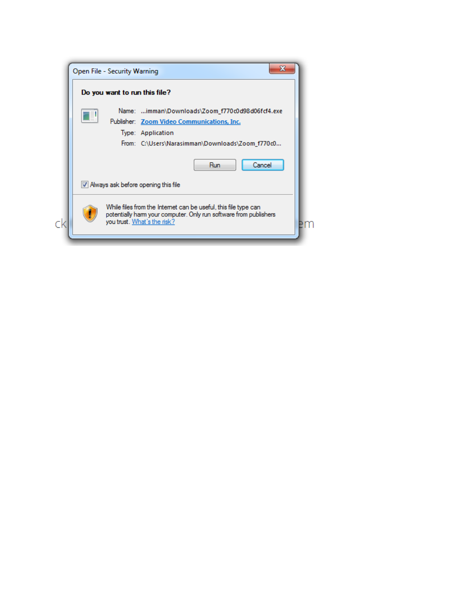|                                                                                                                                                                     | Open File - Security Warning                    |  |
|---------------------------------------------------------------------------------------------------------------------------------------------------------------------|-------------------------------------------------|--|
|                                                                                                                                                                     | Do you want to run this file?                   |  |
|                                                                                                                                                                     | Name: imman\Downloads\Zoom_f770c0d98d06fcf4.exe |  |
|                                                                                                                                                                     | Publisher: Zoom Video Communications, Inc.      |  |
|                                                                                                                                                                     | Type: Application                               |  |
|                                                                                                                                                                     | From: C:\Users\Narasimman\Downloads\Zoom_f770c0 |  |
|                                                                                                                                                                     | Cancel<br>Run                                   |  |
| V Always ask before opening this file                                                                                                                               |                                                 |  |
| While files from the Internet can be useful, this file type can<br>potentially harm your computer. Only run software from publishers<br>you trust. What's the risk? |                                                 |  |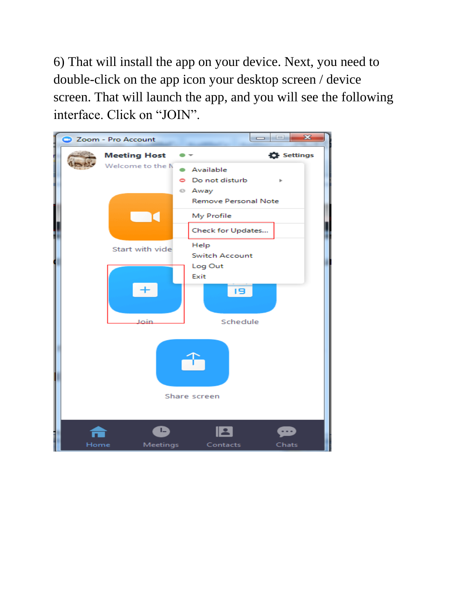6) That will install the app on your device. Next, you need to double-click on the app icon your desktop screen / device screen. That will launch the app, and you will see the following interface. Click on "JOIN".

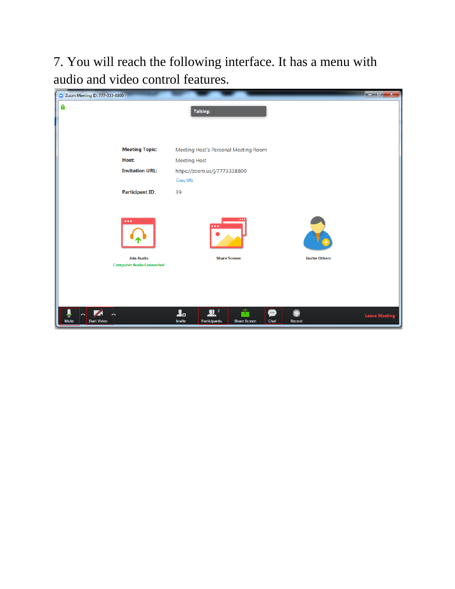7. You will reach the following interface. It has a menu with audio and video control features.

| C Zoom Meeting ID: 777-333-8800                                                 |                                                                                                   | $-$ 0,<br>$\mathbf{x}$                             |
|---------------------------------------------------------------------------------|---------------------------------------------------------------------------------------------------|----------------------------------------------------|
| A                                                                               | <b>Talking:</b>                                                                                   |                                                    |
|                                                                                 |                                                                                                   |                                                    |
| <b>Meeting Topic:</b>                                                           | Meeting Host's Personal Meeting Room                                                              |                                                    |
| Host:                                                                           | <b>Meeting Host</b>                                                                               |                                                    |
| <b>Invitation URL:</b>                                                          | https://zoom.us/j/7773338800<br>Copy URL                                                          |                                                    |
| <b>Participant ID:</b>                                                          | 39                                                                                                |                                                    |
| $\bullet\bullet\bullet$<br><b>Join Audio</b><br><b>Computer Audio Connected</b> | <br><b>Share Screen</b>                                                                           | <b>Invite Others</b>                               |
| Ų<br><b>Mute</b><br><b>Start Video</b>                                          | $R^2$<br>û<br>$\mathbf{2}$ o<br>œ<br>Invite<br>Chat<br><b>Participants</b><br><b>Share Screen</b> | $\bullet$<br><b>Leave Meeting</b><br><b>Record</b> |